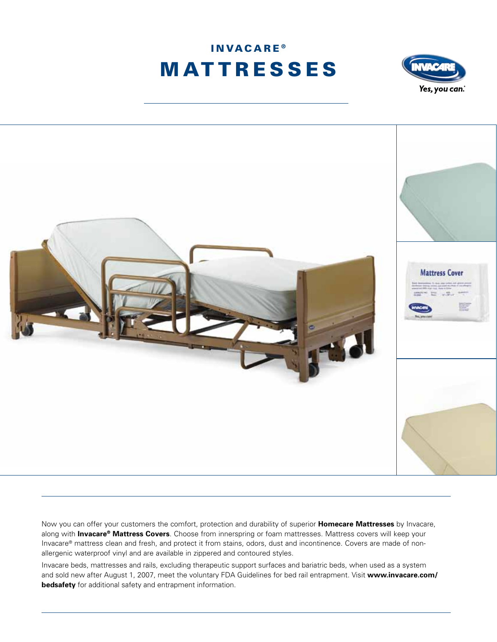





Now you can offer your customers the comfort, protection and durability of superior **Homecare Mattresses** by Invacare, along with **Invacare® Mattress Covers**. Choose from innerspring or foam mattresses. Mattress covers will keep your Invacare® mattress clean and fresh, and protect it from stains, odors, dust and incontinence. Covers are made of nonallergenic waterproof vinyl and are available in zippered and contoured styles.

Invacare beds, mattresses and rails, excluding therapeutic support surfaces and bariatric beds, when used as a system and sold new after August 1, 2007, meet the voluntary FDA Guidelines for bed rail entrapment. Visit **www.invacare.com/ bedsafety** for additional safety and entrapment information.